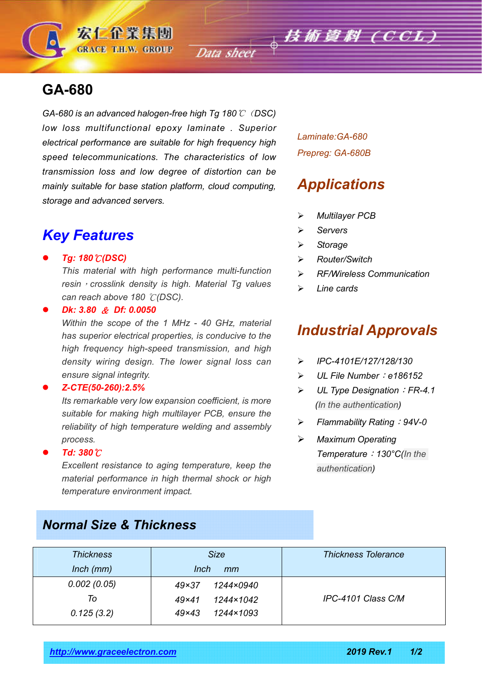

*GA-680 is an advanced halogen-free high Tg 180*℃(*DSC) low loss multifunctional epoxy laminate . Superior electrical performance are suitable for high frequency high speed telecommunications. The characteristics of low transmission loss and low degree of distortion can be mainly suitable for base station platform, cloud computing, storage and advanced servers.*

宏仁企業集團 **GRACE T.H.W. GROUP** 

## *Key Features*

### *Tg: 180*℃*(DSC)*

*This material with high performance multi-function resin*,*crosslink density is high. Material Tg values can reach above 180* ℃*(DSC).*

*Dk: 3.80* & *Df: 0.0050*

*Within the scope of the 1 MHz - 40 GHz, material has superior electrical properties, is conducive to the high frequency high-speed transmission, and high density wiring design. The lower signal loss can ensure signal integrity.*

### *Z-CTE(50-260):2.5%*

*Its remarkable very low expansion coefficient, is more suitable for making high multilayer PCB, ensure the reliability of high temperature welding and assembly process.*

### *Td: 380*℃

*Excellent resistance to aging temperature, keep the material performance in high thermal shock or high temperature environment impact.*

*Normal Size & Thickness*

*Laminate:GA-680 Prepreg: GA-680B*

# *Applications*

- *Multilayer PCB*
- *Servers*
- *Storage*
- *Router/Switch*
- *RF/Wireless Communication*
- *Line cards*

# *Industrial Approvals*

- *IPC-4101E/127/128/130*
- *UL File Number*:*e186152*
- *UL Type Designation*:*FR-4.1 (In the authentication)*
- *Flammability Rating*:*94V-0*
- *Maximum Operating Temperature*:*130°C(In the authentication)*

| Thickness       | <b>Size</b>               | <b>Thickness Tolerance</b> |  |
|-----------------|---------------------------|----------------------------|--|
| $lnch$ ( $mm$ ) | Inch<br>mm                |                            |  |
| 0.002(0.05)     | 1244×0940<br>$49\times37$ |                            |  |
| To              | 1244×1042<br>$49\times41$ | IPC-4101 Class C/M         |  |
| 0.125(3.2)      | 1244×1093<br>$49\times43$ |                            |  |